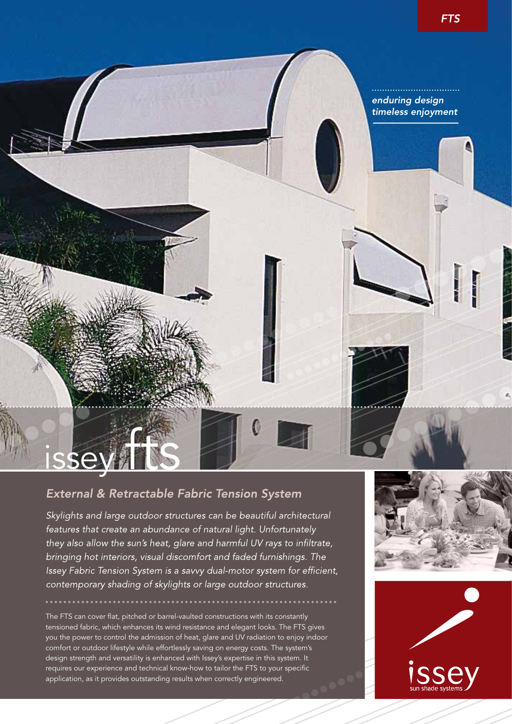## *enduring design timeless enjoyment*

# External & Retractable Fabric Tension System

**issey** 

Skylights and large outdoor structures can be beautiful architectural features that create an abundance of natural light. Unfortunately they also allow the sun's heat, glare and harmful UV rays to infiltrate, bringing hot interiors, visual discomfort and faded furnishings. The Issey Fabric Tension System is a savvy dual-motor system for efficient, contemporary shading of skylights or large outdoor structures.

The FTS can cover flat, pitched or barrel-vaulted constructions with its constantly tensioned fabric, which enhances its wind resistance and elegant looks. The FTS gives you the power to control the admission of heat, glare and UV radiation to enjoy indoor comfort or outdoor lifestyle while effortlessly saving on energy costs. The system's design strength and versatility is enhanced with Issey's expertise in this system. It requires our experience and technical know-how to tailor the FTS to your specific application, as it provides outstanding results when correctly engineered.



<u>. . . . . . . . .</u>